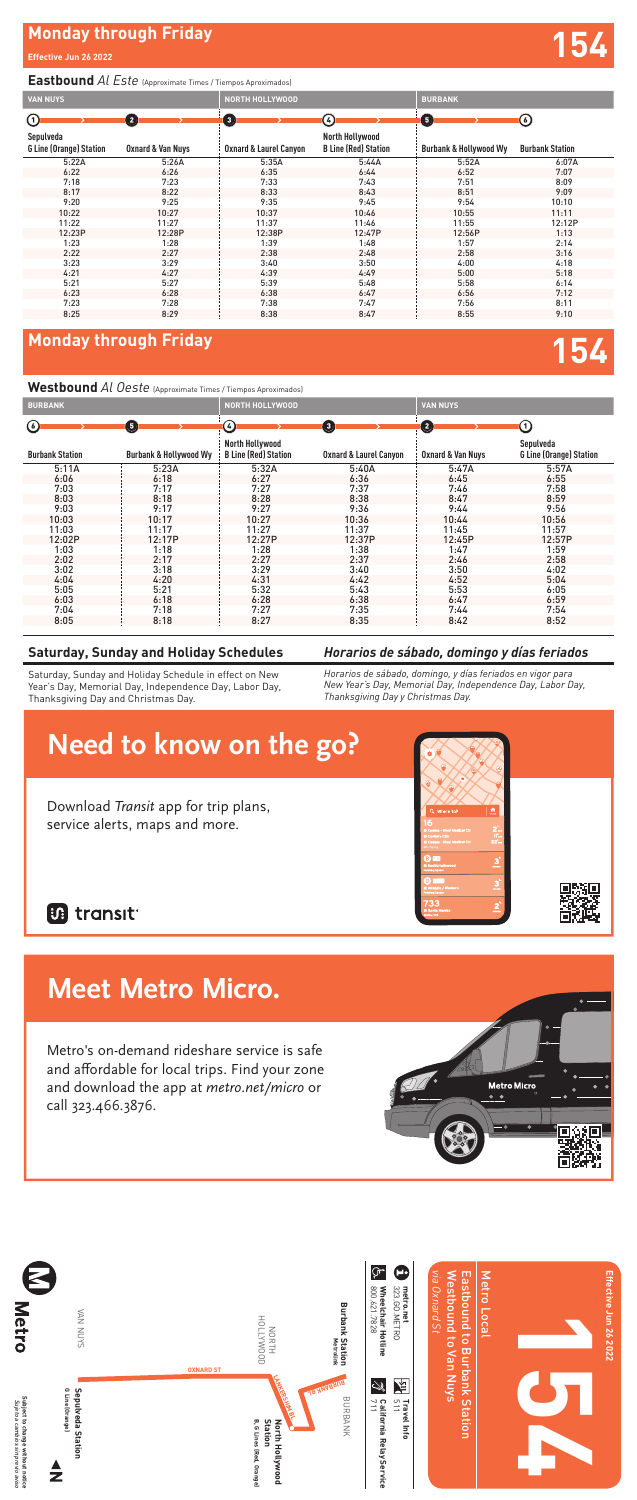## **Monday through Friday 154**

### *Horarios de sábado, domingo y días feriados*

*Horarios de sábado, domingo, y días feriados en vigor para New Year's Day, Memorial Day, Independence Day, Labor Day, Thanksgiving Day y Christmas Day.*

### **Saturday, Sunday and Holiday Schedules**

Saturday, Sunday and Holiday Schedule in effect on New Year's Day, Memorial Day, Independence Day, Labor Day, Thanksgiving Day and Christmas Day.

# **Monday through Friday and Security Conduct of the Security Conduct of the Security Conduct of the Security Conduct of the Security Conduct of the Security Conduct of the Security Conduct of the Security Conduct of the Sec**

### **Eastbound** *Al Este* (Approximate Times / Tiempos Aproximados)

### **Westbound** *Al Oeste* (Approximate Times / Tiempos Aproximados)

| <b>VAN NUYS</b>                             |                   | <b>NORTH HOLLYWOOD</b>            |                                                | <b>BURBANK</b>                    |                        |
|---------------------------------------------|-------------------|-----------------------------------|------------------------------------------------|-----------------------------------|------------------------|
| $\rm \odot$                                 | $\bullet$         | $\bf(3)$                          | $\left(4\right)$                               | <b>(5)</b>                        | (6)                    |
| Sepulveda<br><b>G Line (Orange) Station</b> | Oxnard & Van Nuys | <b>Oxnard &amp; Laurel Canyon</b> | North Hollywood<br><b>B Line (Red) Station</b> | <b>Burbank &amp; Hollywood Wy</b> | <b>Burbank Station</b> |
| 5:22A                                       | 5:26A             | 5:35A                             | 5:44A                                          | 5:52A                             | 6:07A                  |
| 6:22                                        | 6:26              | 6:35                              | 6:44                                           | 6:52                              | 7:07                   |
| 7:18                                        | 7:23              | 7:33                              | 7:43                                           | 7:51                              | 8:09                   |
| 8:17                                        | 8:22              | 8:33                              | 8:43                                           | 8:51                              | 9:09                   |
| 9:20                                        | 9:25              | 9:35                              | 9:45                                           | 9:54                              | 10:10                  |
| 10:22                                       | 10:27             | 10:37                             | 10:46                                          | 10:55                             | 11:11                  |
| 11:22                                       | 11:27             | 11:37                             | 11:46                                          | 11:55                             | 12:12P                 |
| 12:23P                                      | 12:28P            | 12:38P                            | 12:47P                                         | 12:56P                            | 1:13                   |
| 1:23                                        | 1:28              | 1:39                              | 1:48                                           | 1:57                              | 2:14                   |
| 2:22                                        | 2:27              | 2:38                              | 2:48                                           | 2:58                              | 3:16                   |
| 3:23                                        | 3:29              | 3:40                              | 3:50                                           | 4:00                              | 4:18                   |
| 4:21                                        | 4:27              | 4:39                              | 4:49                                           | 5:00                              | 5:18                   |
| 5:21                                        | 5:27              | 5:39                              | 5:48                                           | 5:58                              | 6:14                   |
| 6:23                                        | 6:28              | 6:38                              | 6:47                                           | 6:56                              | 7:12                   |
| 7:23                                        | 7:28              | 7:38                              | 7:47                                           | 7:56                              | 8:11                   |
| 8:25                                        | 8:29              | 8:38                              | 8:47                                           | 8:55                              | 9:10                   |

| <b>BURBANK</b>         |                                   | <b>NORTH HOLLYWOOD</b>                         |                                   | <b>VAN NUYS</b>              |                                             |
|------------------------|-----------------------------------|------------------------------------------------|-----------------------------------|------------------------------|---------------------------------------------|
| $\odot$                | G                                 | $\epsilon$                                     | $\left(3\right)$                  | $\mathbf{\Omega}$            | (1)                                         |
| <b>Burbank Station</b> | <b>Burbank &amp; Hollywood Wy</b> | North Hollywood<br><b>B Line (Red) Station</b> | <b>Oxnard &amp; Laurel Canyon</b> | <b>Oxnard &amp; Van Nuys</b> | Sepulveda<br><b>G Line (Orange) Station</b> |
| 5:11A                  | 5:23A                             | 5:32A                                          | 5:40A                             | 5:47A                        | 5:57A                                       |
| 6:06                   | 6:18                              | 6:27                                           | 6:36                              | 6:45                         | 6:55                                        |
| 7:03                   | 7:17                              | 7:27                                           | 7:37                              | 7:46                         | 7:58                                        |
| 8:03                   | 8:18                              | 8:28                                           | 8:38                              | 8:47                         | 8:59                                        |
| 9:03                   | 9:17                              | 9:27                                           | 9:36                              | 9:44                         | 9:56                                        |
| 10:03                  | 10:17                             | 10:27                                          | 10:36                             | 10:44                        | 10:56                                       |
| 11:03                  | 11:17                             | 11:27                                          | 11:37                             | 11:45                        | 11:57                                       |
| 12:02P                 | 12:17P                            | 12:27P                                         | 12:37P                            | 12:45P                       | 12:57P                                      |
| 1:03                   | 1:18                              | 1:28                                           | 1:38                              | 1:47                         | 1:59                                        |
| 2:02                   | 2:17                              | 2:27                                           | 2:37                              | 2:46                         | 2:58                                        |
| 3:02                   | 3:18                              | 3:29                                           | 3:40                              | 3:50                         | 4:02                                        |
| 4:04                   | 4:20                              | 4:31                                           | 4:42                              | 4:52                         | 5:04                                        |
| 5:05                   | 5:21                              | 5:32                                           | 5:43                              | 5:53                         | 6:05                                        |
| 6:03                   | 6:18                              | 6:28                                           | 6:38                              | 6:47                         | 6:59                                        |
| 7:04                   | 7:18                              | 7:27                                           | 7:35                              | 7:44                         | 7:54                                        |
| 8:05                   | 8:18                              | 8:27                                           | 8:35                              | 8:42                         | 8:52                                        |

## **Need theme** this co **Meet Metro Micro.**

Metro's on-demand rideshare service is safe and affordable for local trips. Find your zone and download the app at metro.net/micro or call 323.466.3876.